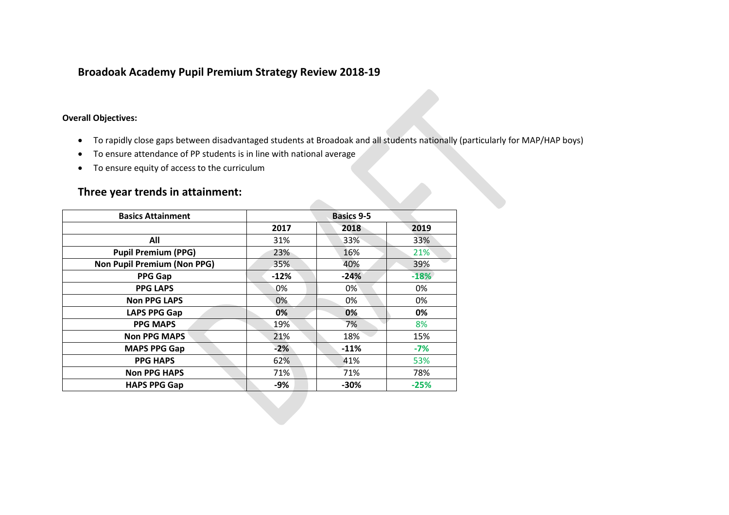## **Broadoak Academy Pupil Premium Strategy Review 2018-19**

## **Overall Objectives:**

- To rapidly close gaps between disadvantaged students at Broadoak and all students nationally (particularly for MAP/HAP boys)
- To ensure attendance of PP students is in line with national average
- To ensure equity of access to the curriculum

## **Three year trends in attainment:**

| <b>Basics Attainment</b>           | <b>Basics 9-5</b> |        |        |
|------------------------------------|-------------------|--------|--------|
|                                    | 2017              | 2018   | 2019   |
| All                                | 31%               | 33%    | 33%    |
| <b>Pupil Premium (PPG)</b>         | 23%               | 16%    | 21%    |
| <b>Non Pupil Premium (Non PPG)</b> | 35%               | 40%    | 39%    |
| <b>PPG Gap</b>                     | $-12%$            | $-24%$ | $-18%$ |
| <b>PPG LAPS</b>                    | 0%                | $0\%$  | 0%     |
| <b>Non PPG LAPS</b>                | 0%                | 0%     | 0%     |
| <b>LAPS PPG Gap</b>                | 0%                | 0%     | 0%     |
| <b>PPG MAPS</b>                    | 19%               | 7%     | 8%     |
| <b>Non PPG MAPS</b>                | 21%               | 18%    | 15%    |
| <b>MAPS PPG Gap</b>                | $-2%$             | $-11%$ | $-7%$  |
| <b>PPG HAPS</b>                    | 62%               | 41%    | 53%    |
| <b>Non PPG HAPS</b>                | 71%               | 71%    | 78%    |
| <b>HAPS PPG Gap</b>                | -9%               | $-30%$ | $-25%$ |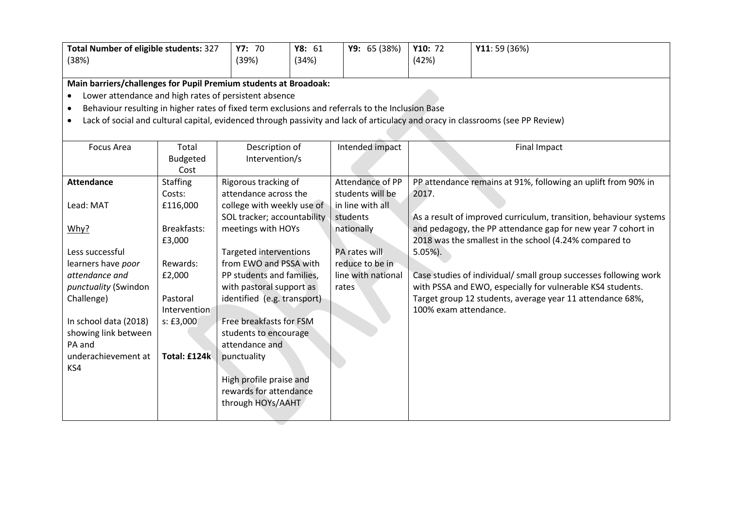| <b>Total Number of eligible students: 327</b><br>(38%)                                                        |                                                                  | Y8: 61<br>Y7: 70<br>(39%)<br>(34%)                                                                                              |  | Y9: 65 (38%)       | Y10: 72<br>(42%)      | Y11: 59 (36%)                                                     |
|---------------------------------------------------------------------------------------------------------------|------------------------------------------------------------------|---------------------------------------------------------------------------------------------------------------------------------|--|--------------------|-----------------------|-------------------------------------------------------------------|
|                                                                                                               |                                                                  |                                                                                                                                 |  |                    |                       |                                                                   |
|                                                                                                               | Main barriers/challenges for Pupil Premium students at Broadoak: |                                                                                                                                 |  |                    |                       |                                                                   |
| ٠                                                                                                             | Lower attendance and high rates of persistent absence            |                                                                                                                                 |  |                    |                       |                                                                   |
| Behaviour resulting in higher rates of fixed term exclusions and referrals to the Inclusion Base<br>$\bullet$ |                                                                  |                                                                                                                                 |  |                    |                       |                                                                   |
|                                                                                                               |                                                                  | Lack of social and cultural capital, evidenced through passivity and lack of articulacy and oracy in classrooms (see PP Review) |  |                    |                       |                                                                   |
|                                                                                                               |                                                                  |                                                                                                                                 |  |                    |                       |                                                                   |
| <b>Focus Area</b>                                                                                             | Total                                                            | Description of                                                                                                                  |  | Intended impact    |                       | <b>Final Impact</b>                                               |
|                                                                                                               | <b>Budgeted</b>                                                  | Intervention/s                                                                                                                  |  |                    |                       |                                                                   |
|                                                                                                               | Cost                                                             |                                                                                                                                 |  |                    |                       |                                                                   |
| <b>Attendance</b>                                                                                             | <b>Staffing</b>                                                  | Rigorous tracking of                                                                                                            |  | Attendance of PP   |                       | PP attendance remains at 91%, following an uplift from 90% in     |
|                                                                                                               | Costs:                                                           | attendance across the                                                                                                           |  | students will be   | 2017.                 |                                                                   |
| Lead: MAT                                                                                                     | £116,000                                                         | college with weekly use of                                                                                                      |  | in line with all   |                       |                                                                   |
|                                                                                                               |                                                                  | SOL tracker; accountability                                                                                                     |  | students           |                       | As a result of improved curriculum, transition, behaviour systems |
| Why?                                                                                                          | Breakfasts:                                                      | meetings with HOYs                                                                                                              |  | nationally         |                       | and pedagogy, the PP attendance gap for new year 7 cohort in      |
|                                                                                                               | £3,000                                                           |                                                                                                                                 |  |                    |                       | 2018 was the smallest in the school (4.24% compared to            |
| Less successful                                                                                               |                                                                  | Targeted interventions                                                                                                          |  | PA rates will      | $5.05%$ ).            |                                                                   |
| learners have poor                                                                                            | Rewards:                                                         | from EWO and PSSA with                                                                                                          |  | reduce to be in    |                       |                                                                   |
| attendance and                                                                                                | £2,000                                                           | PP students and families,                                                                                                       |  | line with national |                       | Case studies of individual/ small group successes following work  |
| punctuality (Swindon                                                                                          | Pastoral                                                         | with pastoral support as                                                                                                        |  | rates              |                       | with PSSA and EWO, especially for vulnerable KS4 students.        |
| Challenge)                                                                                                    | Intervention                                                     | identified (e.g. transport)                                                                                                     |  |                    | 100% exam attendance. | Target group 12 students, average year 11 attendance 68%,         |
| In school data (2018)                                                                                         | s:£3,000                                                         | Free breakfasts for FSM                                                                                                         |  |                    |                       |                                                                   |
| showing link between                                                                                          |                                                                  | students to encourage                                                                                                           |  |                    |                       |                                                                   |
| PA and                                                                                                        |                                                                  | attendance and                                                                                                                  |  |                    |                       |                                                                   |
| underachievement at                                                                                           | Total: £124k                                                     | punctuality                                                                                                                     |  |                    |                       |                                                                   |
| KS4                                                                                                           |                                                                  |                                                                                                                                 |  |                    |                       |                                                                   |
|                                                                                                               |                                                                  | High profile praise and                                                                                                         |  |                    |                       |                                                                   |
|                                                                                                               |                                                                  | rewards for attendance                                                                                                          |  |                    |                       |                                                                   |

through HOYs/AAHT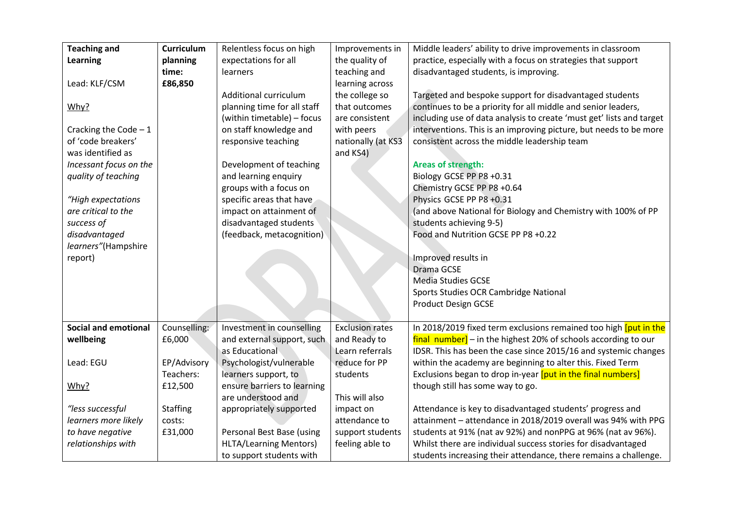| <b>Teaching and</b>         | Curriculum      | Relentless focus on high      | Improvements in        | Middle leaders' ability to drive improvements in classroom           |
|-----------------------------|-----------------|-------------------------------|------------------------|----------------------------------------------------------------------|
| <b>Learning</b>             | planning        | expectations for all          | the quality of         | practice, especially with a focus on strategies that support         |
|                             | time:           | learners                      | teaching and           | disadvantaged students, is improving.                                |
| Lead: KLF/CSM               | £86,850         |                               | learning across        |                                                                      |
|                             |                 | Additional curriculum         | the college so         | Targeted and bespoke support for disadvantaged students              |
| Why?                        |                 | planning time for all staff   | that outcomes          | continues to be a priority for all middle and senior leaders,        |
|                             |                 | (within timetable) - focus    | are consistent         | including use of data analysis to create 'must get' lists and target |
| Cracking the Code $-1$      |                 | on staff knowledge and        | with peers             | interventions. This is an improving picture, but needs to be more    |
| of 'code breakers'          |                 | responsive teaching           | nationally (at KS3     | consistent across the middle leadership team                         |
| was identified as           |                 |                               | and KS4)               |                                                                      |
| Incessant focus on the      |                 | Development of teaching       |                        | <b>Areas of strength:</b>                                            |
| quality of teaching         |                 | and learning enquiry          |                        | Biology GCSE PP P8 +0.31                                             |
|                             |                 | groups with a focus on        |                        | Chemistry GCSE PP P8 +0.64                                           |
| "High expectations          |                 | specific areas that have      |                        | Physics GCSE PP P8 +0.31                                             |
| are critical to the         |                 | impact on attainment of       |                        | (and above National for Biology and Chemistry with 100% of PP        |
| success of                  |                 | disadvantaged students        |                        | students achieving 9-5)                                              |
| disadvantaged               |                 | (feedback, metacognition)     |                        | Food and Nutrition GCSE PP P8 +0.22                                  |
| learners"(Hampshire         |                 |                               |                        |                                                                      |
| report)                     |                 |                               |                        | Improved results in                                                  |
|                             |                 |                               |                        | Drama GCSE                                                           |
|                             |                 |                               |                        | <b>Media Studies GCSE</b>                                            |
|                             |                 |                               |                        | Sports Studies OCR Cambridge National                                |
|                             |                 |                               |                        | <b>Product Design GCSE</b>                                           |
|                             |                 |                               |                        |                                                                      |
| <b>Social and emotional</b> | Counselling:    | Investment in counselling     | <b>Exclusion rates</b> | In 2018/2019 fixed term exclusions remained too high [put in the     |
| wellbeing                   | £6,000          | and external support, such    | and Ready to           | final number] - in the highest 20% of schools according to our       |
|                             |                 | as Educational                | Learn referrals        | IDSR. This has been the case since 2015/16 and systemic changes      |
| Lead: EGU                   | EP/Advisory     | Psychologist/vulnerable       | reduce for PP          | within the academy are beginning to alter this. Fixed Term           |
|                             | Teachers:       | learners support, to          | students               | Exclusions began to drop in-year [put in the final numbers]          |
| Why?                        | £12,500         | ensure barriers to learning   |                        | though still has some way to go.                                     |
|                             |                 | are understood and            | This will also         |                                                                      |
| "less successful            | <b>Staffing</b> | appropriately supported       | impact on              | Attendance is key to disadvantaged students' progress and            |
| learners more likely        | costs:          |                               | attendance to          | attainment - attendance in 2018/2019 overall was 94% with PPG        |
| to have negative            | £31,000         | Personal Best Base (using     | support students       | students at 91% (nat av 92%) and nonPPG at 96% (nat av 96%).         |
| relationships with          |                 | <b>HLTA/Learning Mentors)</b> | feeling able to        | Whilst there are individual success stories for disadvantaged        |
|                             |                 | to support students with      |                        | students increasing their attendance, there remains a challenge.     |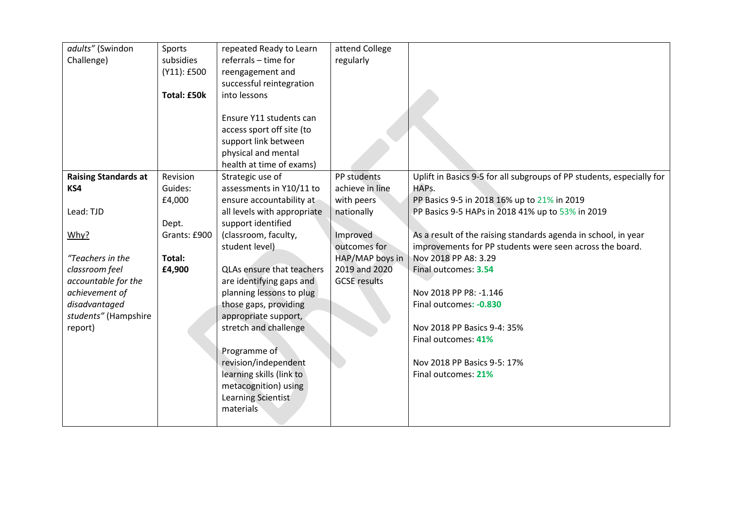| adults" (Swindon            | Sports             | repeated Ready to Learn          | attend College      |                                                                       |
|-----------------------------|--------------------|----------------------------------|---------------------|-----------------------------------------------------------------------|
| Challenge)                  | subsidies          | referrals - time for             | regularly           |                                                                       |
|                             | (Y11): £500        | reengagement and                 |                     |                                                                       |
|                             |                    | successful reintegration         |                     |                                                                       |
|                             | <b>Total: £50k</b> | into lessons                     |                     |                                                                       |
|                             |                    |                                  |                     |                                                                       |
|                             |                    | Ensure Y11 students can          |                     |                                                                       |
|                             |                    | access sport off site (to        |                     |                                                                       |
|                             |                    | support link between             |                     |                                                                       |
|                             |                    | physical and mental              |                     |                                                                       |
|                             |                    | health at time of exams)         |                     |                                                                       |
| <b>Raising Standards at</b> | Revision           | Strategic use of                 | PP students         | Uplift in Basics 9-5 for all subgroups of PP students, especially for |
| KS4                         | Guides:            | assessments in Y10/11 to         | achieve in line     | HAPs.                                                                 |
|                             | £4,000             | ensure accountability at         | with peers          | PP Basics 9-5 in 2018 16% up to 21% in 2019                           |
| Lead: TJD                   |                    | all levels with appropriate      | nationally          | PP Basics 9-5 HAPs in 2018 41% up to 53% in 2019                      |
|                             | Dept.              | support identified               |                     |                                                                       |
| Why?                        | Grants: £900       | (classroom, faculty,             | Improved            | As a result of the raising standards agenda in school, in year        |
|                             |                    | student level)                   | outcomes for        | improvements for PP students were seen across the board.              |
| "Teachers in the            | Total:             |                                  | HAP/MAP boys in     | Nov 2018 PP A8: 3.29                                                  |
| classroom feel              | £4,900             | <b>QLAs ensure that teachers</b> | 2019 and 2020       | Final outcomes: 3.54                                                  |
| accountable for the         |                    | are identifying gaps and         | <b>GCSE</b> results |                                                                       |
| achievement of              |                    | planning lessons to plug         |                     | Nov 2018 PP P8: -1.146                                                |
| disadvantaged               |                    | those gaps, providing            |                     | Final outcomes: - 0.830                                               |
| students" (Hampshire        |                    | appropriate support,             |                     |                                                                       |
| report)                     |                    | stretch and challenge            |                     | Nov 2018 PP Basics 9-4: 35%                                           |
|                             |                    |                                  |                     | Final outcomes: 41%                                                   |
|                             |                    | Programme of                     |                     |                                                                       |
|                             |                    | revision/independent             |                     | Nov 2018 PP Basics 9-5: 17%                                           |
|                             |                    | learning skills (link to         |                     | Final outcomes: 21%                                                   |
|                             |                    | metacognition) using             |                     |                                                                       |
|                             |                    | Learning Scientist               |                     |                                                                       |
|                             |                    | materials                        |                     |                                                                       |
|                             |                    |                                  |                     |                                                                       |